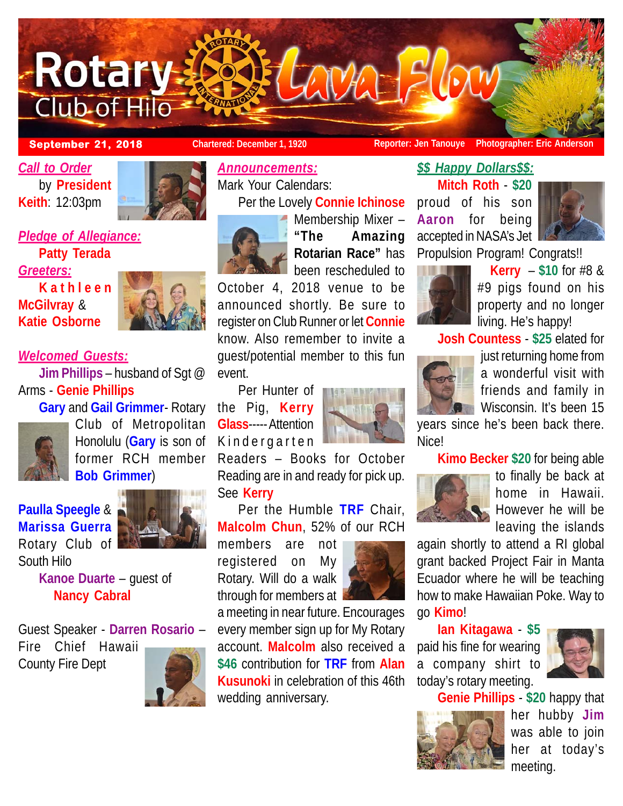

## **September 21, 2018 Chartered: December 1, 1920 Reporter: Jen Tanouye Photographer: Eric Anderson**

*Call to Order* by **President Keith**: 12:03pm



*Pledge of Allegiance:* **Patty Terada**

*Greeters:* **Kathleen McGilvray** & **Katie Osborne**



# *Welcomed Guests:*

**Jim Phillips** – husband of Sgt @ Arms - **Genie Phillips**



**Gary** and **Gail Grimmer**- Rotary Club of Metropolitan Honolulu (**Gary** is son of former RCH member **Bob Grimmer**)

**Paulla Speegle** & **Marissa Guerra** Rotary Club of South Hilo



**Kanoe Duarte** – guest of **Nancy Cabral**

Guest Speaker - **Darren Rosario** – Fire Chief Hawaii County Fire Dept



## *Announcements:*

Mark Your Calendars: Per the Lovely **Connie Ichinose**



Membership Mixer – **"The Amazing Rotarian Race"** has been rescheduled to

October 4, 2018 venue to be announced shortly. Be sure to register on Club Runner or let **Connie** know. Also remember to invite a guest/potential member to this fun event.

the Pig, **Kerry Glass**----- Attention Kindergarten

Readers – Books for October Reading are in and ready for pick up. See **Kerry**

Per the Humble **TRF** Chair, **Malcolm Chun**, 52% of our RCH

members are not registered on My Rotary. Will do a walk through for members at



a meeting in near future. Encourages every member sign up for My Rotary account. **Malcolm** also received a **\$46** contribution for **TRF** from **Alan Kusunoki** in celebration of this 46th wedding anniversary.

**Kerry** – **\$10** for #8 & #9 pigs found on his property and no longer living. He's happy!

**Josh Countess** - **\$25** elated for

Propulsion Program! Congrats!!



*\$\$ Happy Dollars\$\$:* **Mitch Roth** - **\$20** proud of his son **Aaron** for being accepted in NASA's Jet

> just returning home from a wonderful visit with friends and family in Wisconsin. It's been 15

years since he's been back there. Nice!

**Kimo Becker \$20** for being able



to finally be back at home in Hawaii. However he will be leaving the islands

again shortly to attend a RI global grant backed Project Fair in Manta Ecuador where he will be teaching how to make Hawaiian Poke. Way to go **Kimo**!

**Ian Kitagawa** - **\$5**

paid his fine for wearing a company shirt to today's rotary meeting.



**Genie Phillips** - **\$20** happy that



her hubby **Jim** was able to join her at today's meeting.

Per Hunter of